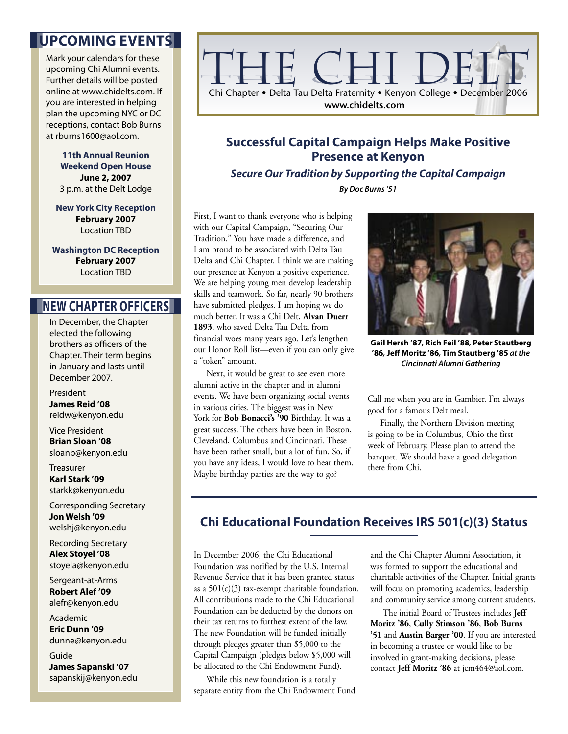### **UPCOMING EVENTS**

Mark your calendars for these upcoming Chi Alumni events. Further details will be posted online at www.chidelts.com. If you are interested in helping plan the upcoming NYC or DC receptions, contact Bob Burns at rburns1600@aol.com.

> **11th Annual Reunion Weekend Open House June 2, 2007** 3 p.m. at the Delt Lodge

**New York City Reception February 2007** Location TBD

**Washington DC Reception February 2007** Location TBD

### **NEW CHAPTER OFFICERS**

In December, the Chapter elected the following brothers as officers of the Chapter. Their term begins in January and lasts until December 2007.

President **James Reid '08**  reidw@kenyon.edu

Vice President **Brian Sloan '08** sloanb@kenyon.edu

**Treasurer Karl Stark '09**  starkk@kenyon.edu

Corresponding Secretary **Jon Welsh '09**  welshj@kenyon.edu

Recording Secretary **Alex Stoyel '08**  stoyela@kenyon.edu

Sergeant-at-Arms **Robert Alef '09**  alefr@kenyon.edu

Academic **Eric Dunn '09**  dunne@kenyon.edu

Guide **James Sapanski '07**  sapanskij@kenyon.edu



### **Successful Capital Campaign Helps Make Positive Presence at Kenyon**

**Secure Our Tradition by Supporting the Capital Campaign By Doc Burns '51**

First, I want to thank everyone who is helping with our Capital Campaign, "Securing Our Tradition." You have made a difference, and I am proud to be associated with Delta Tau Delta and Chi Chapter. I think we are making our presence at Kenyon a positive experience. We are helping young men develop leadership skills and teamwork. So far, nearly 90 brothers have submitted pledges. I am hoping we do much better. It was a Chi Delt, **Alvan Duerr 1893**, who saved Delta Tau Delta from financial woes many years ago. Let's lengthen our Honor Roll list—even if you can only give a "token" amount.

 Next, it would be great to see even more alumni active in the chapter and in alumni events. We have been organizing social events in various cities. The biggest was in New York for **Bob Bonacci's '90** Birthday. It was a great success. The others have been in Boston, Cleveland, Columbus and Cincinnati. These have been rather small, but a lot of fun. So, if you have any ideas, I would love to hear them. Maybe birthday parties are the way to go?



**Gail Hersh '87, Rich Feil '88, Peter Stautberg '86, Jeff Moritz '86, Tim Stautberg '85 at the Cincinnati Alumni Gathering**

Call me when you are in Gambier. I'm always good for a famous Delt meal.

 Finally, the Northern Division meeting is going to be in Columbus, Ohio the first week of February. Please plan to attend the banquet. We should have a good delegation there from Chi.

### **Chi Educational Foundation Receives IRS 501(c)(3) Status**

In December 2006, the Chi Educational Foundation was notified by the U.S. Internal Revenue Service that it has been granted status as a  $501(c)(3)$  tax-exempt charitable foundation. All contributions made to the Chi Educational Foundation can be deducted by the donors on their tax returns to furthest extent of the law. The new Foundation will be funded initially through pledges greater than \$5,000 to the Capital Campaign (pledges below \$5,000 will be allocated to the Chi Endowment Fund).

 While this new foundation is a totally separate entity from the Chi Endowment Fund and the Chi Chapter Alumni Association, it was formed to support the educational and charitable activities of the Chapter. Initial grants will focus on promoting academics, leadership and community service among current students.

 The initial Board of Trustees includes **Jeff Moritz '86**, **Cully Stimson '86**, **Bob Burns '51** and **Austin Barger '00**. If you are interested in becoming a trustee or would like to be involved in grant-making decisions, please contact **Jeff Moritz '86** at jcm464@aol.com.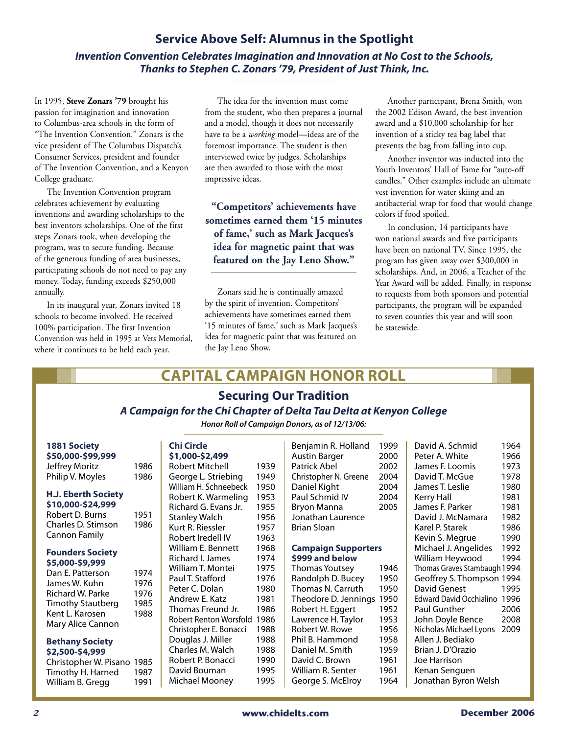### **Service Above Self: Alumnus in the Spotlight Invention Convention Celebrates Imagination and Innovation at No Cost to the Schools, Thanks to Stephen C. Zonars '79, President of Just Think, Inc.**

In 1995, **Steve Zonars '79** brought his passion for imagination and innovation to Columbus-area schools in the form of "The Invention Convention." Zonars is the vice president of The Columbus Dispatch's Consumer Services, president and founder of The Invention Convention, and a Kenyon College graduate.

 The Invention Convention program celebrates achievement by evaluating inventions and awarding scholarships to the best inventors scholarships. One of the first steps Zonars took, when developing the program, was to secure funding. Because of the generous funding of area businesses, participating schools do not need to pay any money. Today, funding exceeds \$250,000 annually.

 In its inaugural year, Zonars invited 18 schools to become involved. He received 100% participation. The first Invention Convention was held in 1995 at Vets Memorial, where it continues to be held each year.

 The idea for the invention must come from the student, who then prepares a journal and a model, though it does not necessarily have to be a *working* model—ideas are of the foremost importance. The student is then interviewed twice by judges. Scholarships are then awarded to those with the most impressive ideas.

**"Competitors' achievements have sometimes earned them '15 minutes of fame,' such as Mark Jacques's idea for magnetic paint that was featured on the Jay Leno Show."**

 Zonars said he is continually amazed by the spirit of invention. Competitors' achievements have sometimes earned them '15 minutes of fame,' such as Mark Jacques's idea for magnetic paint that was featured on the Jay Leno Show.

 Another participant, Brena Smith, won the 2002 Edison Award, the best invention award and a \$10,000 scholarship for her invention of a sticky tea bag label that prevents the bag from falling into cup.

 Another inventor was inducted into the Youth Inventors' Hall of Fame for "auto-off candles." Other examples include an ultimate vest invention for water skiing and an antibacterial wrap for food that would change colors if food spoiled.

 In conclusion, 14 participants have won national awards and five participants have been on national TV. Since 1995, the program has given away over \$300,000 in scholarships. And, in 2006, a Teacher of the Year Award will be added. Finally, in response to requests from both sponsors and potential participants, the program will be expanded to seven counties this year and will soon be statewide.

# **CAPITAL CAMPAIGN HONOR ROLL**

## **Securing Our Tradition**

### **A Campaign for the Chi Chapter of Delta Tau Delta at Kenyon College**

**Honor Roll of Campaign Donors, as of 12/13/06:** 

| <b>1881 Society</b>                                                                                                                                              |                                      | <b>Chi Circle</b>                                                                                                                    |
|------------------------------------------------------------------------------------------------------------------------------------------------------------------|--------------------------------------|--------------------------------------------------------------------------------------------------------------------------------------|
| \$50,000-\$99,999                                                                                                                                                |                                      | \$1,000-\$2                                                                                                                          |
| Jeffrey Moritz                                                                                                                                                   | 1986                                 | <b>Robert Mit</b>                                                                                                                    |
| Philip V. Moyles                                                                                                                                                 | 1986                                 | George L. 9                                                                                                                          |
| <b>H.J. Eberth Society</b><br>\$10,000-\$24,999<br>Robert D. Burns<br>Charles D. Stimson<br>Cannon Family                                                        | 1951<br>1986                         | William H. S<br>Robert K.V<br>Richard G.<br><b>Stanley Wa</b><br>Kurt R. Ries<br>Robert Irec                                         |
| <b>Founders Society</b><br>\$5,000-\$9,999<br>Dan E. Patterson<br>James W. Kuhn<br>Richard W. Parke<br>Timothy Stautberg<br>Kent L. Karosen<br>Mary Alice Cannon | 1974<br>1976<br>1976<br>1985<br>1988 | William E. E<br>Richard I. J<br>William T. N<br>Paul T. Staf<br>Peter C. Dc<br>Andrew E.<br>Thomas Fre<br>Robert Rent<br>Christopher |
| <b>Bethany Society</b>                                                                                                                                           |                                      | Douglas J.                                                                                                                           |
| \$2,500-\$4,999                                                                                                                                                  |                                      | Charles M.                                                                                                                           |
| Christopher W. Pisano 1985                                                                                                                                       |                                      | Robert P. B                                                                                                                          |

Timothy H. Harned 1987 William B. Gregg 1991

## **\$1,000-\$2,499**

| Y 11000 YAJTII         |      |
|------------------------|------|
| Robert Mitchell        | 1939 |
| George L. Striebing    | 1949 |
| William H. Schneebeck  | 1950 |
| Robert K. Warmeling    | 1953 |
| Richard G. Evans Jr.   | 1955 |
| <b>Stanley Walch</b>   | 1956 |
| Kurt R. Riessler       | 1957 |
| Robert Iredell IV      | 1963 |
| William E. Bennett     | 1968 |
| Richard I. James       | 1974 |
| William T. Montei      | 1975 |
| Paul T. Stafford       | 1976 |
| Peter C. Dolan         | 1980 |
| Andrew E. Katz         | 1981 |
| Thomas Freund Jr.      | 1986 |
| Robert Renton Worsfold | 1986 |
| Christopher E. Bonacci | 1988 |
| Douglas J. Miller      | 1988 |
| Charles M. Walch       | 1988 |
| Robert P. Bonacci      | 1990 |
| David Bouman           | 1995 |
| Michael Mooney         | 1995 |
|                        |      |

| Benjamin R. Holland   | 1999 |
|-----------------------|------|
| Austin Barger         | 2000 |
| Patrick Abel          | 2002 |
| Christopher N. Greene | 2004 |
| Daniel Kight          | 2004 |
| Paul Schmid IV        | 2004 |
| Bryon Manna           | 2005 |
| Jonathan Laurence     |      |
| Brian Sloan           |      |
|                       |      |

#### **Campaign Supporters**

| \$999 and below       |      |
|-----------------------|------|
| <b>Thomas Youtsey</b> | 1946 |
| Randolph D. Bucey     | 1950 |
| Thomas N. Carruth     | 1950 |
| Theodore D. Jennings  | 1950 |
| Robert H. Eggert      | 1952 |
| Lawrence H. Taylor    | 1953 |
| Robert W. Rowe        | 1956 |
| Phil B. Hammond       | 1958 |
| Daniel M. Smith       | 1959 |
| David C. Brown        | 1961 |
| William R. Senter     | 1961 |
| George S. McElroy     | 1964 |

David A. Schmid 1964 Peter A. White 1966 James F. Loomis 1973 David T. McGue 1978 James T. Leslie 1980 Kerry Hall 1981 James F. Parker 1981 David J. McNamara 1982 Karel P. Starek 1986 Kevin S. Megrue 1990 Michael J. Angelides 1992 William Heywood 1994 Thomas Graves Stambaugh 1994 Geoffrey S. Thompson 1994 David Genest 1995 Edward David Occhialino 1996 Paul Gunther 2006 John Doyle Bence 2008 Nicholas Michael Lyons 2009 Allen J. Bediako Brian J. D'Orazio Joe Harrison Kenan Senguen Jonathan Byron Welsh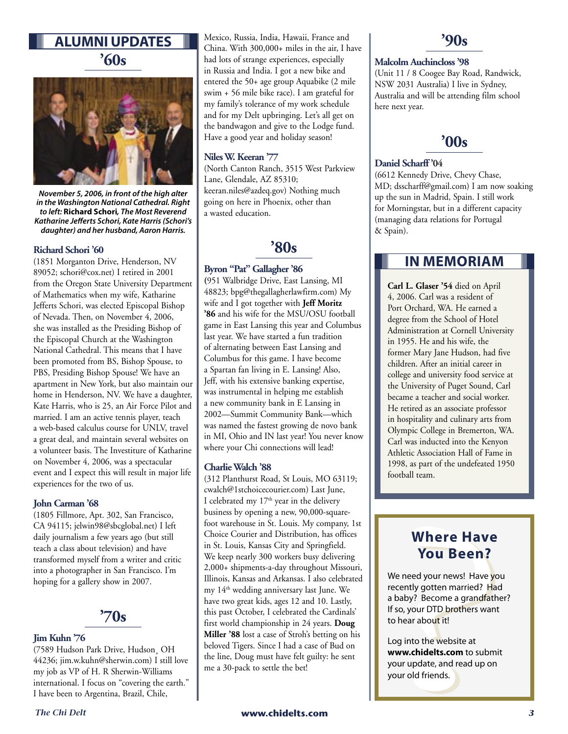## **ALUMNI UPDATES '60s**



**November 5, 2006, in front of the high alter in the Washington National Cathedral. Right to left: Richard Schori, The Most Reverend Katharine Jefferts Schori, Kate Harris (Schori's daughter) and her husband, Aaron Harris.**

#### **Richard Schori '60**

(1851 Morganton Drive, Henderson, NV 89052; schori@cox.net) I retired in 2001 from the Oregon State University Department of Mathematics when my wife, Katharine Jefferts Schori, was elected Episcopal Bishop of Nevada. Then, on November 4, 2006, she was installed as the Presiding Bishop of the Episcopal Church at the Washington National Cathedral. This means that I have been promoted from BS, Bishop Spouse, to PBS, Presiding Bishop Spouse! We have an apartment in New York, but also maintain our home in Henderson, NV. We have a daughter, Kate Harris, who is 25, an Air Force Pilot and married. I am an active tennis player, teach a web-based calculus course for UNLV, travel a great deal, and maintain several websites on a volunteer basis. The Investiture of Katharine on November 4, 2006, was a spectacular event and I expect this will result in major life experiences for the two of us.

#### **John Carman '68**

(1805 Fillmore, Apt. 302, San Francisco, CA 94115; jelwin98@sbcglobal.net) I left daily journalism a few years ago (but still teach a class about television) and have transformed myself from a writer and critic into a photographer in San Francisco. I'm hoping for a gallery show in 2007.



#### **Jim Kuhn '76**

(7589 Hudson Park Drive, Hudson¸ OH 44236; jim.w.kuhn@sherwin.com) I still love my job as VP of H. R Sherwin-Williams international. I focus on "covering the earth." I have been to Argentina, Brazil, Chile,

Mexico, Russia, India, Hawaii, France and China. With 300,000+ miles in the air, I have had lots of strange experiences, especially in Russia and India. I got a new bike and entered the 50+ age group Aquabike (2 mile swim + 56 mile bike race). I am grateful for my family's tolerance of my work schedule and for my Delt upbringing. Let's all get on the bandwagon and give to the Lodge fund. Have a good year and holiday season!

#### **Niles W. Keeran '77**

(North Canton Ranch, 3515 West Parkview Lane, Glendale, AZ 85310; keeran.niles@azdeq.gov) Nothing much going on here in Phoenix, other than a wasted education.

## **'80s**

#### **Byron "Pat" Gallagher '86**

**(**951 Walbridge Drive, East Lansing, MI 48823; bpg@thegallagherlawfirm.com) My wife and I got together with **Jeff Moritz '86** and his wife for the MSU/OSU football game in East Lansing this year and Columbus last year. We have started a fun tradition of alternating between East Lansing and Columbus for this game. I have become a Spartan fan living in E. Lansing! Also, Jeff, with his extensive banking expertise, was instrumental in helping me establish a new community bank in E Lansing in 2002—Summit Community Bank—which was named the fastest growing de novo bank in MI, Ohio and IN last year! You never know where your Chi connections will lead!

#### **Charlie Walch '88**

(312 Planthurst Road, St Louis, MO 63119; cwalch@1stchoicecourier.com) Last June, I celebrated my  $17<sup>th</sup>$  year in the delivery business by opening a new, 90,000-squarefoot warehouse in St. Louis. My company, 1st Choice Courier and Distribution, has offices in St. Louis, Kansas City and Springfield. We keep nearly 300 workers busy delivering 2,000+ shipments-a-day throughout Missouri, Illinois, Kansas and Arkansas. I also celebrated my 14<sup>th</sup> wedding anniversary last June. We have two great kids, ages 12 and 10. Lastly, this past October, I celebrated the Cardinals' first world championship in 24 years. **Doug Miller '88** lost a case of Stroh's betting on his beloved Tigers. Since I had a case of Bud on the line, Doug must have felt guilty: he sent me a 30-pack to settle the bet!

### **'90s**

#### **Malcolm Auchincloss '98**

(Unit 11 / 8 Coogee Bay Road, Randwick, NSW 2031 Australia) I live in Sydney, Australia and will be attending film school here next year.



#### **Daniel Scharff '04**

(6612 Kennedy Drive, Chevy Chase, MD; dsscharff@gmail.com) I am now soaking up the sun in Madrid, Spain. I still work for Morningstar, but in a different capacity (managing data relations for Portugal & Spain).

## **IN MEMORIAM**

**Carl L. Glaser '54** died on April 4, 2006. Carl was a resident of Port Orchard, WA. He earned a degree from the School of Hotel Administration at Cornell University in 1955. He and his wife, the former Mary Jane Hudson, had five children. After an initial career in college and university food service at the University of Puget Sound, Carl became a teacher and social worker. He retired as an associate professor in hospitality and culinary arts from Olympic College in Bremerton, WA. Carl was inducted into the Kenyon Athletic Association Hall of Fame in 1998, as part of the undefeated 1950 football team.

## **Where Have You Been?**

We need your news! Have you recently gotten married? Had a baby? Become a grandfather? If so, your DTD brothers want to hear about it!

Log into the website at **www.chidelts.com** to submit your update, and read up on your old friends.